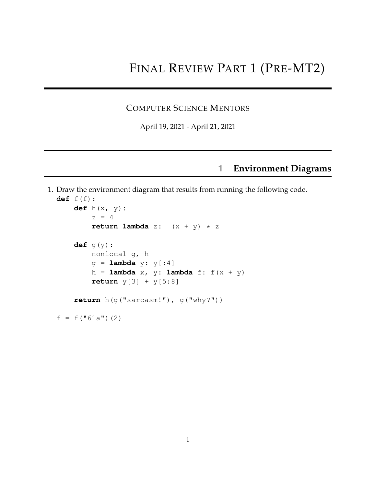## FINAL REVIEW PART 1 (PRE-MT2)

## COMPUTER SCIENCE MENTORS

April 19, 2021 - April 21, 2021

## **1 Environment Diagrams**

1. Draw the environment diagram that results from running the following code. **def** f(f): **def** h(x, y):  $z = 4$ **return lambda**  $z: (x + y) * z$ **def** g(y): nonlocal g, h g = **lambda** y: y[:4]

```
h = lambda x, y: lambda f: f(x + y)return y[3] + y[5:8]
```

```
return h(g("sarcasm!"), g("why?"))
```
 $f = f("61a")$  (2)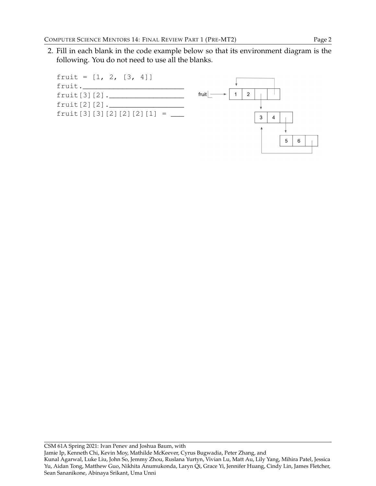2. Fill in each blank in the code example below so that its environment diagram is the following. You do not need to use all the blanks.

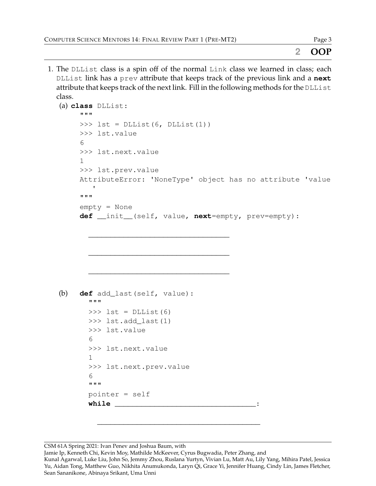## **2 OOP**

1. The DLList class is a spin off of the normal Link class we learned in class; each DLList link has a prev attribute that keeps track of the previous link and a **next** attribute that keeps track of the next link. Fill in the following methods for the DLList class.

```
(a) class DLList:
     """
     \Rightarrow lst = DLList(6, DLList(1))
     >>> lst.value
     6
     >>> lst.next.value
     1
     >>> lst.prev.value
     AttributeError: 'NoneType' object has no attribute 'value
         '"""
     empty = None
     def __init__(self, value, next=empty, prev=empty):
       ________________________________
       ________________________________
       ________________________________
(b) def add_last(self, value):
       """
       \Rightarrow \Rightarrow \quad lst = DLList(6)
       >>> lst.add_last(1)
       >>> lst.value
       6
       >>> lst.next.value
       1
       >>> lst.next.prev.value
       6
       """
       pointer = self
       while _______________________________:
```
CSM 61A Spring 2021: Ivan Penev and Joshua Baum, with

Jamie Ip, Kenneth Chi, Kevin Moy, Mathilde McKeever, Cyrus Bugwadia, Peter Zhang, and

\_\_\_\_\_\_\_\_\_\_\_\_\_\_\_\_\_\_\_\_\_\_\_\_\_\_\_\_\_\_\_\_\_\_\_\_\_

Kunal Agarwal, Luke Liu, John So, Jemmy Zhou, Ruslana Yurtyn, Vivian Lu, Matt Au, Lily Yang, Mihira Patel, Jessica Yu, Aidan Tong, Matthew Guo, Nikhita Anumukonda, Laryn Qi, Grace Yi, Jennifer Huang, Cindy Lin, James Fletcher, Sean Sananikone, Abinaya Srikant, Uma Unni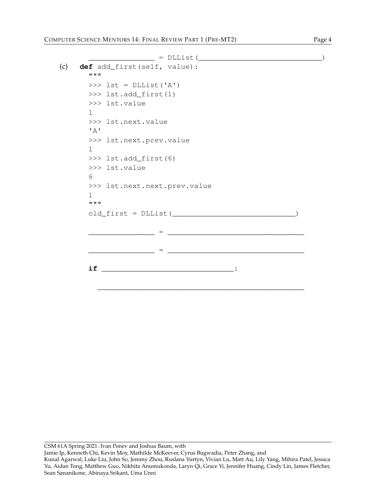```
\frac{1}{2} = DLList(\frac{1}{2} = \frac{1}{2}(c) def add_first(self, value):
       """
       \Rightarrow lst = DLList('A')
       >>> lst.add_first(1)
       >>> lst.value
       1
       >>> lst.next.value
       ' A'>>> lst.next.prev.value
       1
       >>> lst.add_first(6)
       >>> lst.value
       6
       >>> lst.next.next.prev.value
       1
       ^{\mathrm{H}} "" ^{\mathrm{H}}old_first = DLList(____________________________)
                 _______________ = _______________________________
                        \Box = \Box = \Boxif ______________________________:
          _______________________________________________
```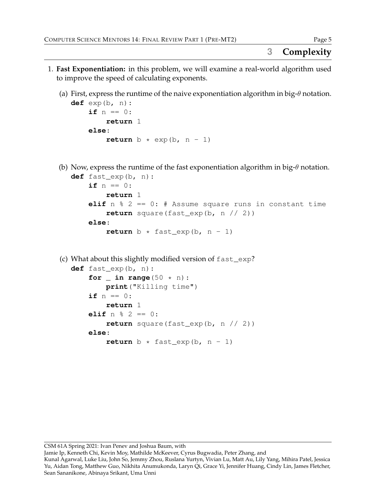- 1. **Fast Exponentiation:** in this problem, we will examine a real-world algorithm used to improve the speed of calculating exponents.
	- (a) First, express the runtime of the naive exponentiation algorithm in big- $\theta$  notation.

```
def exp(b, n):
    if n == 0:
        return 1
    else:
        return b * exp(b, n - 1)
```
(b) Now, express the runtime of the fast exponentiation algorithm in big- $\theta$  notation.

```
def fast_exp(b, n):
    if n == 0:
        return 1
    elif n % 2 == 0: # Assume square runs in constant time
        return square(fast_exp(b, n // 2))
    else:
        return b * fast\_exp(b, n - 1)
```
(c) What about this slightly modified version of fast\_exp?

```
def fast_exp(b, n):
    for \angle in range(50 \times n):
        print("Killing time")
    if n == 0:
        return 1
    elif n % 2 == 0:
        return square(fast_exp(b, n // 2))
    else:
        return b * fast\_exp(b, n - 1)
```
CSM 61A Spring 2021: Ivan Penev and Joshua Baum, with

Jamie Ip, Kenneth Chi, Kevin Moy, Mathilde McKeever, Cyrus Bugwadia, Peter Zhang, and

Kunal Agarwal, Luke Liu, John So, Jemmy Zhou, Ruslana Yurtyn, Vivian Lu, Matt Au, Lily Yang, Mihira Patel, Jessica Yu, Aidan Tong, Matthew Guo, Nikhita Anumukonda, Laryn Qi, Grace Yi, Jennifer Huang, Cindy Lin, James Fletcher, Sean Sananikone, Abinaya Srikant, Uma Unni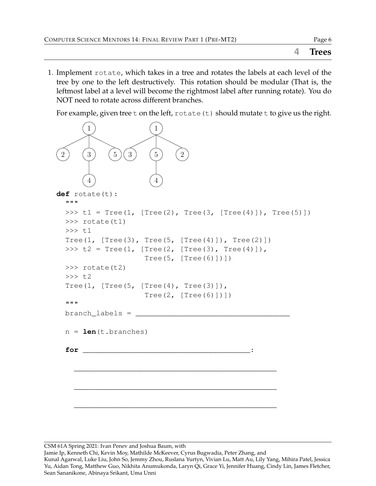1. Implement rotate, which takes in a tree and rotates the labels at each level of the tree by one to the left destructively. This rotation should be modular (That is, the leftmost label at a level will become the rightmost label after running rotate). You do NOT need to rotate across different branches.

For example, given tree t on the left,  $\text{rotate}(t)$  should mutate t to give us the right.



CSM 61A Spring 2021: Ivan Penev and Joshua Baum, with

Jamie Ip, Kenneth Chi, Kevin Moy, Mathilde McKeever, Cyrus Bugwadia, Peter Zhang, and

Kunal Agarwal, Luke Liu, John So, Jemmy Zhou, Ruslana Yurtyn, Vivian Lu, Matt Au, Lily Yang, Mihira Patel, Jessica Yu, Aidan Tong, Matthew Guo, Nikhita Anumukonda, Laryn Qi, Grace Yi, Jennifer Huang, Cindy Lin, James Fletcher, Sean Sananikone, Abinaya Srikant, Uma Unni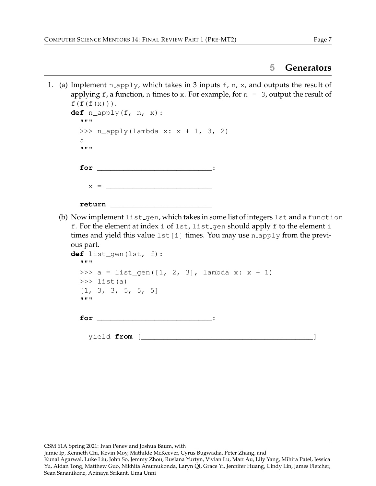1. (a) Implement n\_apply, which takes in 3 inputs  $f$ , n, x, and outputs the result of applying f, a function, n times to x. For example, for  $n = 3$ , output the result of  $f(f(f(x)))$ . **def** n\_apply(f, n, x):

```
"""
>>> n_apply(lambda x: x + 1, 3, 2)
5
"""
for _______________________________:
  x =return _______________________
```
(b) Now implement list gen, which takes in some list of integers lst and a function f. For the element at index i of lst, list gen should apply f to the element i times and yield this value  $1st[i]$  times. You may use n apply from the previous part.

```
def list_gen(lst, f):
  """
 >>> a = list_gen([1, 2, 3], lambda x: x + 1)
 \gg list(a)
  [1, 3, 3, 5, 5, 5]
  """
  for \qquad \qquad \vdots
```
yield **from** [\_\_\_\_\_\_\_\_\_\_\_\_\_\_\_\_\_\_\_\_\_\_\_\_\_\_\_\_\_\_\_\_\_\_\_\_\_\_\_]

Jamie Ip, Kenneth Chi, Kevin Moy, Mathilde McKeever, Cyrus Bugwadia, Peter Zhang, and

Kunal Agarwal, Luke Liu, John So, Jemmy Zhou, Ruslana Yurtyn, Vivian Lu, Matt Au, Lily Yang, Mihira Patel, Jessica Yu, Aidan Tong, Matthew Guo, Nikhita Anumukonda, Laryn Qi, Grace Yi, Jennifer Huang, Cindy Lin, James Fletcher, Sean Sananikone, Abinaya Srikant, Uma Unni